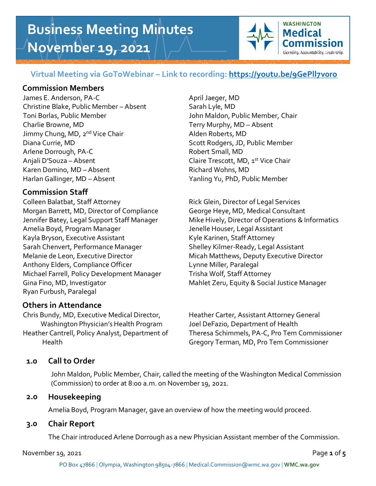# **Business Meeting Minutes November 19, 2021**



# **Virtual Meeting via GoToWebinar – Link to recording:<https://youtu.be/9GePll7v0ro>**

## **Commission Members**

James E. Anderson, PA-C April Jaeger, MD Christine Blake, Public Member – Absent Sarah Lyle, MD Toni Borlas, Public Member John Maldon, Public Member, Chair Charlie Browne, MD Terry Murphy, MD – Absent Jimmy Chung, MD, 2<sup>nd</sup> Vice Chair **Alden Roberts, MD** Diana Currie, MD Scott Rodgers, JD, Public Member Arlene Dorrough, PA-C Robert Small, MD Anjali D'Souza – Absent Chaire Trescott, MD, 1st Vice Chair Karen Domino, MD – Absent Richard Wohns, MD Harlan Gallinger, MD – Absent Yanling Yu, PhD, Public Member

# **Commission Staff**

Colleen Balatbat, Staff Attorney **Rick Glein, Director of Legal Services** Morgan Barrett, MD, Director of Compliance George Heye, MD, Medical Consultant Amelia Boyd, Program Manager Jenelle Houser, Legal Assistant Kayla Bryson, Executive Assistant Kyle Karinen, Staff Attorney Sarah Chenvert, Performance Manager Shelley Kilmer-Ready, Legal Assistant Melanie de Leon, Executive Director Micah Matthews, Deputy Executive Director Anthony Elders, Compliance Officer Lynne Miller, Paralegal Michael Farrell, Policy Development Manager Trisha Wolf, Staff Attorney Gina Fino, MD, Investigator Mahlet Zeru, Equity & Social Justice Manager Ryan Furbush, Paralegal

# **Others in Attendance**

Chris Bundy, MD, Executive Medical Director, Heather Carter, Assistant Attorney General Washington Physician's Health Program Joel DeFazio, Department of Health

Jennifer Batey, Legal Support Staff Manager Mike Hively, Director of Operations & Informatics

Heather Cantrell, Policy Analyst, Department of Theresa Schimmels, PA-C, Pro Tem Commissioner Health Gregory Terman, MD, Pro Tem Commissioner

# **1.0 Call to Order**

John Maldon, Public Member, Chair, called the meeting of the Washington Medical Commission (Commission) to order at 8:00 a.m. on November 19, 2021.

## **2.0 Housekeeping**

Amelia Boyd, Program Manager, gave an overview of how the meeting would proceed.

## **3.0 Chair Report**

The Chair introduced Arlene Dorrough as a new Physician Assistant member of the Commission.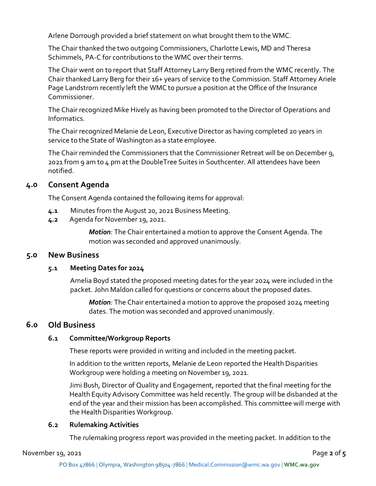Arlene Dorrough provided a brief statement on what brought them to the WMC.

The Chair thanked the two outgoing Commissioners, Charlotte Lewis, MD and Theresa Schimmels, PA-C for contributions to the WMC over their terms.

The Chair went on to report that Staff Attorney Larry Berg retired from the WMC recently. The Chair thanked Larry Berg for their 16+ years of service to the Commission. Staff Attorney Ariele Page Landstrom recently left the WMC to pursue a position at the Office of the Insurance Commissioner.

The Chair recognized Mike Hively as having been promoted to the Director of Operations and Informatics.

The Chair recognized Melanie de Leon, Executive Director as having completed 20 years in service to the State of Washington as a state employee.

The Chair reminded the Commissioners that the Commissioner Retreat will be on December 9, 2021 from 9 am to 4 pm at the DoubleTree Suites in Southcenter. All attendees have been notified.

## **4.0 Consent Agenda**

The Consent Agenda contained the following items for approval:

- **4.1** Minutes from the August 20, 2021 Business Meeting.
- **4.2** Agenda for November 19, 2021.

*Motion:* The Chair entertained a motion to approve the Consent Agenda. The motion was seconded and approved unanimously.

## **5.0 New Business**

#### **5.1 Meeting Dates for 2024**

Amelia Boyd stated the proposed meeting dates for the year 2024 were included in the packet. John Maldon called for questions or concerns about the proposed dates.

*Motion:* The Chair entertained a motion to approve the proposed 2024 meeting dates. The motion was seconded and approved unanimously.

## **6.0 Old Business**

## **6.1 Committee/Workgroup Reports**

These reports were provided in writing and included in the meeting packet.

In addition to the written reports, Melanie de Leon reported the Health Disparities Workgroup were holding a meeting on November 19, 2021.

Jimi Bush, Director of Quality and Engagement, reported that the final meeting for the Health Equity Advisory Committee was held recently. The group will be disbanded at the end of the year and their mission has been accomplished. This committee will merge with the Health Disparities Workgroup.

## **6.2 Rulemaking Activities**

The rulemaking progress report was provided in the meeting packet. In addition to the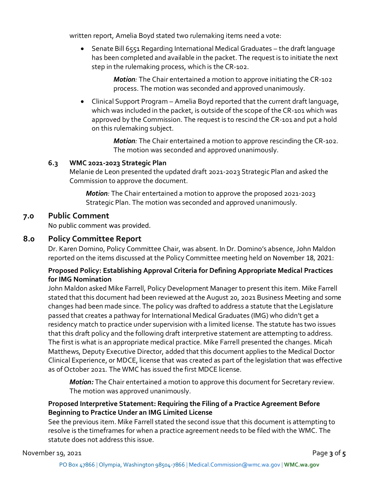written report, Amelia Boyd stated two rulemaking items need a vote:

• Senate Bill 6551 Regarding International Medical Graduates – the draft language has been completed and available in the packet. The request is to initiate the next step in the rulemaking process, which is the CR-102.

> *Motion:* The Chair entertained a motion to approve initiating the CR-102 process. The motion was seconded and approved unanimously.

• Clinical Support Program – Amelia Boyd reported that the current draft language, which was included in the packet, is outside of the scope of the CR-101 which was approved by the Commission. The request is to rescind the CR-101 and put a hold on this rulemaking subject.

> *Motion:* The Chair entertained a motion to approve rescinding the CR-102. The motion was seconded and approved unanimously.

#### **6.3 WMC 2021-2023 Strategic Plan**

Melanie de Leon presented the updated draft 2021-2023 Strategic Plan and asked the Commission to approve the document.

*Motion:* The Chair entertained a motion to approve the proposed 2021-2023 Strategic Plan. The motion was seconded and approved unanimously.

## **7.0 Public Comment**

No public comment was provided.

## **8.0 Policy Committee Report**

Dr. Karen Domino, Policy Committee Chair, was absent. In Dr. Domino's absence, John Maldon reported on the items discussed at the Policy Committee meeting held on November 18, 2021:

## **Proposed Policy: Establishing Approval Criteria for Defining Appropriate Medical Practices for IMG Nomination**

John Maldon asked Mike Farrell, Policy Development Manager to present this item. Mike Farrell stated that this document had been reviewed at the August 20, 2021 Business Meeting and some changes had been made since. The policy was drafted to address a statute that the Legislature passed that creates a pathway for International Medical Graduates (IMG) who didn't get a residency match to practice under supervision with a limited license. The statute has two issues that this draft policy and the following draft interpretive statement are attempting to address. The first is what is an appropriate medical practice. Mike Farrell presented the changes. Micah Matthews, Deputy Executive Director, added that this document applies to the Medical Doctor Clinical Experience, or MDCE, license that was created as part of the legislation that was effective as of October 2021. The WMC has issued the first MDCE license.

*Motion:* The Chair entertained a motion to approve this document for Secretary review. The motion was approved unanimously.

## **Proposed Interpretive Statement: Requiring the Filing of a Practice Agreement Before Beginning to Practice Under an IMG Limited License**

See the previous item. Mike Farrell stated the second issue that this document is attempting to resolve is the timeframes for when a practice agreement needs to be filed with the WMC. The statute does not address this issue.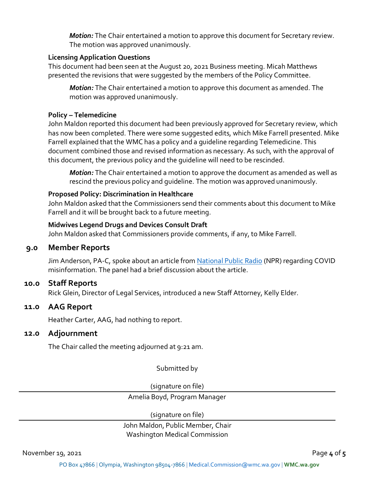*Motion:* The Chair entertained a motion to approve this document for Secretary review. The motion was approved unanimously.

#### **Licensing Application Questions**

This document had been seen at the August 20, 2021 Business meeting. Micah Matthews presented the revisions that were suggested by the members of the Policy Committee.

*Motion:* The Chair entertained a motion to approve this document as amended. The motion was approved unanimously.

#### **Policy – Telemedicine**

John Maldon reported this document had been previously approved for Secretary review, which has now been completed. There were some suggested edits, which Mike Farrell presented. Mike Farrell explained that the WMC has a policy and a guideline regarding Telemedicine. This document combined those and revised information as necessary. As such, with the approval of this document, the previous policy and the guideline will need to be rescinded.

*Motion:* The Chair entertained a motion to approve the document as amended as well as rescind the previous policy and guideline. The motion was approved unanimously.

#### **Proposed Policy: Discrimination in Healthcare**

John Maldon asked that the Commissioners send their comments about this document to Mike Farrell and it will be brought back to a future meeting.

#### **Midwives Legend Drugs and Devices Consult Draft**

John Maldon asked that Commissioners provide comments, if any, to Mike Farrell.

#### **9.0 Member Reports**

Jim Anderson, PA-C, spoke about an article fro[m National Public Radio](https://www.npr.org/sections/health-shots/2021/11/04/1051873608/a-doctor-spread-covid-misinformation-and-renewed-her-license-with-a-mouse-click) (NPR) regarding COVID misinformation. The panel had a brief discussion about the article.

#### **10.0 Staff Reports**

Rick Glein, Director of Legal Services, introduced a new Staff Attorney, Kelly Elder.

#### **11.0 AAG Report**

Heather Carter, AAG, had nothing to report.

#### **12.0 Adjournment**

The Chair called the meeting adjourned at 9:21 am.

Submitted by

(signature on file)

Amelia Boyd, Program Manager

(signature on file)

#### John Maldon, Public Member, Chair Washington Medical Commission

November 19, 2021 **Page 4** of **5**